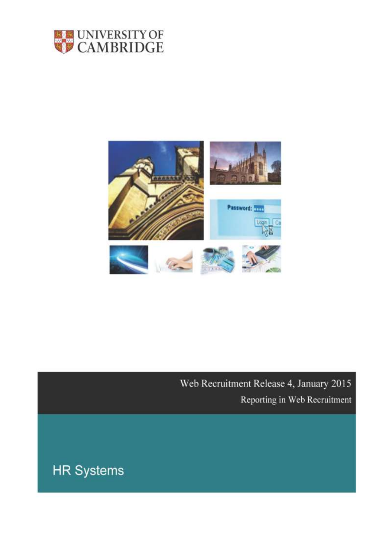



Web Recruitment Release 4, January 2015 Reporting in Web Recruitment

**HR Systems**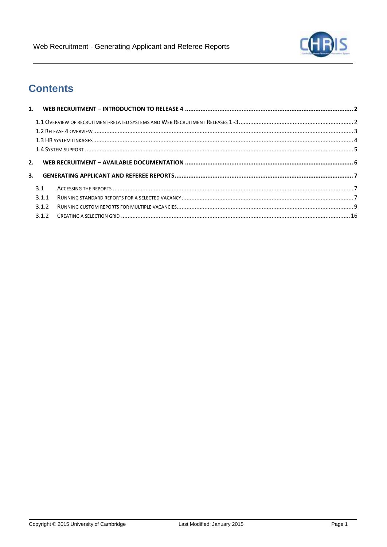

# **Contents**

| 3.1 |       |  |
|-----|-------|--|
|     | 3.1.1 |  |
|     | 3.1.2 |  |
|     | 3.1.2 |  |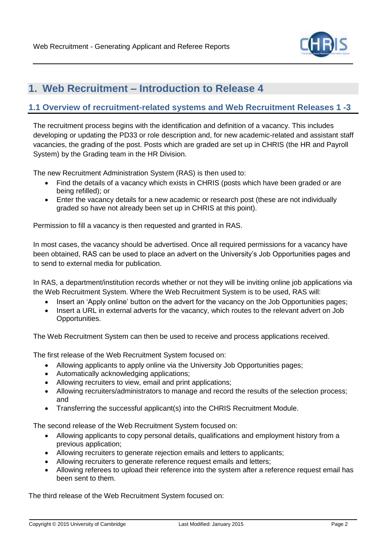

# <span id="page-2-0"></span>**1. Web Recruitment – Introduction to Release 4**

### <span id="page-2-1"></span>**1.1 Overview of recruitment-related systems and Web Recruitment Releases 1 -3**

The recruitment process begins with the identification and definition of a vacancy. This includes developing or updating the PD33 or role description and, for new academic-related and assistant staff vacancies, the grading of the post. Posts which are graded are set up in CHRIS (the HR and Payroll System) by the Grading team in the HR Division.

The new Recruitment Administration System (RAS) is then used to:

- Find the details of a vacancy which exists in CHRIS (posts which have been graded or are being refilled); or
- Enter the vacancy details for a new academic or research post (these are not individually graded so have not already been set up in CHRIS at this point).

Permission to fill a vacancy is then requested and granted in RAS.

In most cases, the vacancy should be advertised. Once all required permissions for a vacancy have been obtained, RAS can be used to place an advert on the University's Job Opportunities pages and to send to external media for publication.

In RAS, a department/institution records whether or not they will be inviting online job applications via the Web Recruitment System. Where the Web Recruitment System is to be used, RAS will:

- Insert an 'Apply online' button on the advert for the vacancy on the Job Opportunities pages;
- Insert a URL in external adverts for the vacancy, which routes to the relevant advert on Job Opportunities.

The Web Recruitment System can then be used to receive and process applications received.

The first release of the Web Recruitment System focused on:

- Allowing applicants to apply online via the University Job Opportunities pages;
- Automatically acknowledging applications;
- Allowing recruiters to view, email and print applications;
- Allowing recruiters/administrators to manage and record the results of the selection process; and
- Transferring the successful applicant(s) into the CHRIS Recruitment Module.

The second release of the Web Recruitment System focused on:

- Allowing applicants to copy personal details, qualifications and employment history from a previous application;
- Allowing recruiters to generate rejection emails and letters to applicants;
- Allowing recruiters to generate reference request emails and letters;
- Allowing referees to upload their reference into the system after a reference request email has been sent to them.

The third release of the Web Recruitment System focused on: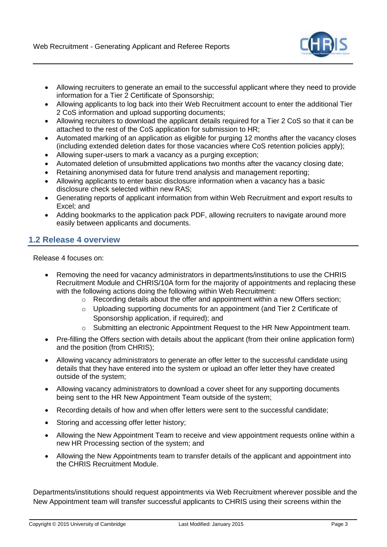

- Allowing recruiters to generate an email to the successful applicant where they need to provide information for a Tier 2 Certificate of Sponsorship;
- Allowing applicants to log back into their Web Recruitment account to enter the additional Tier 2 CoS information and upload supporting documents;
- Allowing recruiters to download the applicant details required for a Tier 2 CoS so that it can be attached to the rest of the CoS application for submission to HR;
- Automated marking of an application as eligible for purging 12 months after the vacancy closes (including extended deletion dates for those vacancies where CoS retention policies apply);
- Allowing super-users to mark a vacancy as a purging exception;
- Automated deletion of unsubmitted applications two months after the vacancy closing date;
- Retaining anonymised data for future trend analysis and management reporting;
- Allowing applicants to enter basic disclosure information when a vacancy has a basic disclosure check selected within new RAS;
- Generating reports of applicant information from within Web Recruitment and export results to Excel; and
- Adding bookmarks to the application pack PDF, allowing recruiters to navigate around more easily between applicants and documents.

### <span id="page-3-0"></span>**1.2 Release 4 overview**

Release 4 focuses on:

- Removing the need for vacancy administrators in departments/institutions to use the CHRIS Recruitment Module and CHRIS/10A form for the majority of appointments and replacing these with the following actions doing the following within Web Recruitment:
	- o Recording details about the offer and appointment within a new Offers section;
	- o Uploading supporting documents for an appointment (and Tier 2 Certificate of Sponsorship application, if required); and
	- $\circ$  Submitting an electronic Appointment Request to the HR New Appointment team.
- Pre-filling the Offers section with details about the applicant (from their online application form) and the position (from CHRIS);
- Allowing vacancy administrators to generate an offer letter to the successful candidate using details that they have entered into the system or upload an offer letter they have created outside of the system;
- Allowing vacancy administrators to download a cover sheet for any supporting documents being sent to the HR New Appointment Team outside of the system;
- Recording details of how and when offer letters were sent to the successful candidate;
- Storing and accessing offer letter history;
- Allowing the New Appointment Team to receive and view appointment requests online within a new HR Processing section of the system; and
- Allowing the New Appointments team to transfer details of the applicant and appointment into the CHRIS Recruitment Module.

Departments/institutions should request appointments via Web Recruitment wherever possible and the New Appointment team will transfer successful applicants to CHRIS using their screens within the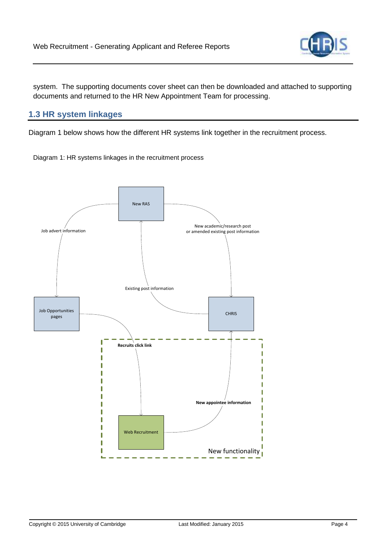

system. The supporting documents cover sheet can then be downloaded and attached to supporting documents and returned to the HR New Appointment Team for processing.

# <span id="page-4-0"></span>**1.3 HR system linkages**

Diagram 1 below shows how the different HR systems link together in the recruitment process.

Diagram 1: HR systems linkages in the recruitment process

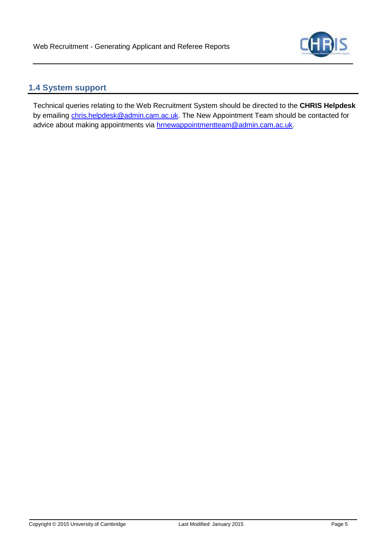

# <span id="page-5-0"></span>**1.4 System support**

Technical queries relating to the Web Recruitment System should be directed to the **CHRIS Helpdesk**  by emailing [chris.helpdesk@admin.cam.ac.uk.](mailto:chris.helpdesk@admin.cam.ac.uk) The New Appointment Team should be contacted for advice about making appointments via [hrnewappointmentteam@admin.cam.ac.uk.](mailto:hrnewappointmentteam@admin.cam.ac.uk)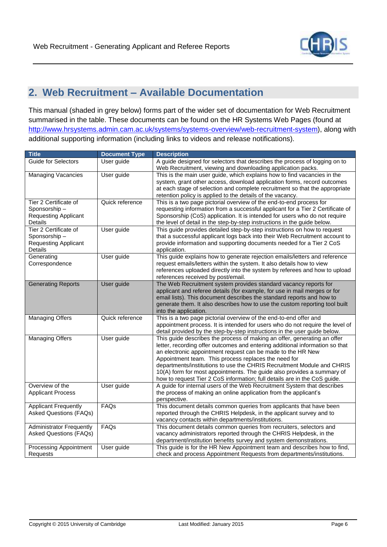

# <span id="page-6-0"></span>**2. Web Recruitment – Available Documentation**

This manual (shaded in grey below) forms part of the wider set of documentation for Web Recruitment summarised in the table. These documents can be found on the HR Systems Web Pages (found at [http://www.hrsystems.admin.cam.ac.uk/systems/systems-overview/web-recruitment-system\)](http://www.hrsystems.admin.cam.ac.uk/systems/systems-overview/web-recruitment-system), along with additional supporting information (including links to videos and release notifications).

| <b>Title</b>                                                                           | <b>Document Type</b> | <b>Description</b>                                                                                                                                                                                                                                                                                                                                                                                                                                                                                               |
|----------------------------------------------------------------------------------------|----------------------|------------------------------------------------------------------------------------------------------------------------------------------------------------------------------------------------------------------------------------------------------------------------------------------------------------------------------------------------------------------------------------------------------------------------------------------------------------------------------------------------------------------|
| <b>Guide for Selectors</b>                                                             | User guide           | A guide designed for selectors that describes the process of logging on to<br>Web Recruitment, viewing and downloading application packs.                                                                                                                                                                                                                                                                                                                                                                        |
| <b>Managing Vacancies</b>                                                              | User guide           | This is the main user guide, which explains how to find vacancies in the<br>system, grant other access, download application forms, record outcomes<br>at each stage of selection and complete recruitment so that the appropriate<br>retention policy is applied to the details of the vacancy.                                                                                                                                                                                                                 |
| Tier 2 Certificate of<br>Sponsorship-<br><b>Requesting Applicant</b><br><b>Details</b> | Quick reference      | This is a two page pictorial overview of the end-to-end process for<br>requesting information from a successful applicant for a Tier 2 Certificate of<br>Sponsorship (CoS) application. It is intended for users who do not require<br>the level of detail in the step-by-step instructions in the guide below.                                                                                                                                                                                                  |
| Tier 2 Certificate of<br>Sponsorship-<br><b>Requesting Applicant</b><br>Details        | User guide           | This guide provides detailed step-by-step instructions on how to request<br>that a successful applicant logs back into their Web Recruitment account to<br>provide information and supporting documents needed for a Tier 2 CoS<br>application.                                                                                                                                                                                                                                                                  |
| Generating<br>Correspondence                                                           | User guide           | This guide explains how to generate rejection emails/letters and reference<br>request emails/letters within the system. It also details how to view<br>references uploaded directly into the system by referees and how to upload<br>references received by post/email.                                                                                                                                                                                                                                          |
| <b>Generating Reports</b>                                                              | User guide           | The Web Recruitment system provides standard vacancy reports for<br>applicant and referee details (for example, for use in mail merges or for<br>email lists). This document describes the standard reports and how to<br>generate them. It also describes how to use the custom reporting tool built<br>into the application.                                                                                                                                                                                   |
| <b>Managing Offers</b>                                                                 | Quick reference      | This is a two page pictorial overview of the end-to-end offer and<br>appointment process. It is intended for users who do not require the level of<br>detail provided by the step-by-step instructions in the user guide below.                                                                                                                                                                                                                                                                                  |
| <b>Managing Offers</b>                                                                 | User guide           | This guide describes the process of making an offer, generating an offer<br>letter, recording offer outcomes and entering additional information so that<br>an electronic appointment request can be made to the HR New<br>Appointment team. This process replaces the need for<br>departments/institutions to use the CHRIS Recruitment Module and CHRIS<br>10(A) form for most appointments. The guide also provides a summary of<br>how to request Tier 2 CoS information; full details are in the CoS guide. |
| Overview of the<br><b>Applicant Process</b>                                            | User guide           | A guide for internal users of the Web Recruitment System that describes<br>the process of making an online application from the applicant's<br>perspective.                                                                                                                                                                                                                                                                                                                                                      |
| <b>Applicant Frequently</b><br><b>Asked Questions (FAQs)</b>                           | FAQs                 | This document details common queries from applicants that have been<br>reported through the CHRIS Helpdesk, in the applicant survey and to<br>vacancy contacts within departments/institutions.                                                                                                                                                                                                                                                                                                                  |
| <b>Administrator Frequently</b><br><b>Asked Questions (FAQs)</b>                       | FAQs                 | This document details common queries from recruiters, selectors and<br>vacancy administrators reported through the CHRIS Helpdesk, in the<br>department/institution benefits survey and system demonstrations.                                                                                                                                                                                                                                                                                                   |
| <b>Processing Appointment</b><br>Requests                                              | User guide           | This guide is for the HR New Appointment team and describes how to find,<br>check and process Appointment Requests from departments/institutions.                                                                                                                                                                                                                                                                                                                                                                |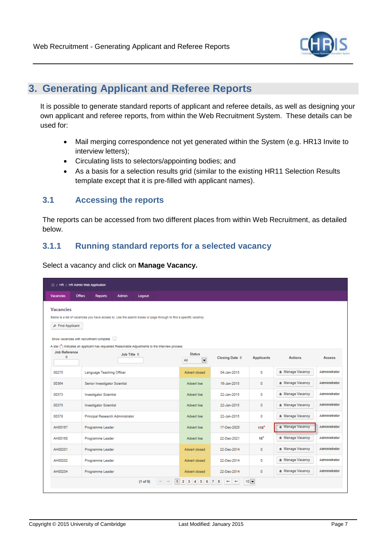

# <span id="page-7-0"></span>**3. Generating Applicant and Referee Reports**

It is possible to generate standard reports of applicant and referee details, as well as designing your own applicant and referee reports, from within the Web Recruitment System. These details can be used for:

- Mail merging correspondence not yet generated within the System (e.g. HR13 Invite to interview letters);
- Circulating lists to selectors/appointing bodies; and
- As a basis for a selection results grid (similar to the existing HR11 Selection Results template except that it is pre-filled with applicant names).

### <span id="page-7-1"></span>**3.1 Accessing the reports**

The reports can be accessed from two different places from within Web Recruitment, as detailed below.

# <span id="page-7-2"></span>**3.1.1 Running standard reports for a selected vacancy**

Select a vacancy and click on **Manage Vacancy.**

|                                      | / HR / HR Admin Web Application                                                                                                                               |              |          |           |                                                  |                         |               |                  |               |
|--------------------------------------|---------------------------------------------------------------------------------------------------------------------------------------------------------------|--------------|----------|-----------|--------------------------------------------------|-------------------------|---------------|------------------|---------------|
| <b>Vacancies</b>                     | <b>Offers</b><br><b>Reports</b>                                                                                                                               | <b>Admin</b> | Logout   |           |                                                  |                         |               |                  |               |
| <b>Vacancies</b><br>₽ Find Applicant | Below is a list of vacancles you have access to. Use the search boxes or page through to find a specific vacancy.<br>Show vacancles with recruitment complete |              |          |           |                                                  |                         |               |                  |               |
|                                      | A star (*) Indicates an applicant has requested Reasonable Adjustments to the Interview process                                                               |              |          |           |                                                  |                         |               |                  |               |
| Job Reference<br>Ő.                  |                                                                                                                                                               | Job Title 0  |          |           | <b>Status</b><br>$\overline{\phantom{a}}$<br>All | Closing Date $\diamond$ | Applicants    | Actions          | Access        |
| 00275                                | Language Teaching Officer                                                                                                                                     |              |          |           | Advert closed                                    | 04-Jan-2015             | $\mathbf{0}$  | * Manage Vacancy | Administrator |
| 00364                                | Senior Investigator Scientist                                                                                                                                 |              |          |           | Advert live                                      | 16-Jan-2015             | 0             | * Manage Vacancy | Administrator |
| 00373                                | <b>Investigator Scientist</b>                                                                                                                                 |              |          |           | <b>Advert live</b>                               | 22-Jan-2015             | $\Omega$      | * Manage Vacancy | Administrator |
| 00375                                | <b>Investigator Scientist</b>                                                                                                                                 |              |          |           | Advert live                                      | 22-Jan-2015             | $\mathbf{0}$  | * Manage Vacancy | Administrator |
| 00378                                | Principal Research Administrator                                                                                                                              |              |          |           | <b>Advert live</b>                               | 22-Jan-2015             | o             | * Manage Vacancy | Administrator |
| AH00167                              | Programme Leader                                                                                                                                              |              |          |           | <b>Advert live</b>                               | 17-Dec-2025             | $118*$        | * Manage Vacancy | Administrator |
| AH00168                              | Programme Leader                                                                                                                                              |              |          |           | <b>Advert live</b>                               | 22-Dec-2021             | $16*$         | * Manage Vacancy | Administrator |
| AH00201                              | Programme Leader                                                                                                                                              |              |          |           | Advert closed                                    | 22-Dec-2014             | $\mathbf{0}$  | * Manage Vacancy | Administrator |
| AH00202                              | Programme Leader                                                                                                                                              |              |          |           | Advert closed                                    | 22-Dec-2014             | o             | * Manage Vacancy | Administrator |
| AH00204                              | Programme Leader                                                                                                                                              |              |          |           | Advert closed                                    | 22-Dec-2014             | $\mathbf 0$   | * Manage Vacancy | Administrator |
|                                      |                                                                                                                                                               |              | (1 of 8) | $14 - 64$ | 1 2 3 4 5 6 7 8 <sup>80</sup> <sup>81</sup>      |                         | $10$ $\equiv$ |                  |               |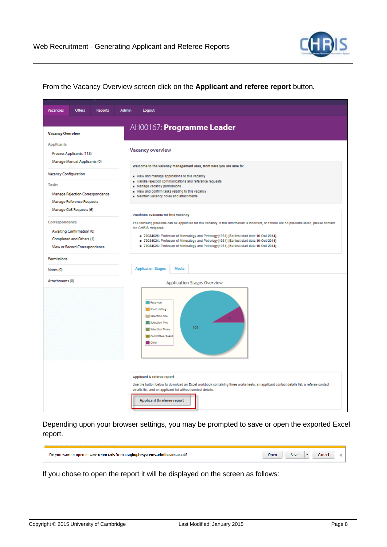

From the Vacancy Overview screen click on the **Applicant and referee report** button.

| Vacancies                                    | <b>Offers</b>                                                                                                     | <b>Reports</b> | <b>Admin</b> | Logout                                                                                                     |                                                                                                                                                                                                                                                                                                                                                                                                                                                                           |
|----------------------------------------------|-------------------------------------------------------------------------------------------------------------------|----------------|--------------|------------------------------------------------------------------------------------------------------------|---------------------------------------------------------------------------------------------------------------------------------------------------------------------------------------------------------------------------------------------------------------------------------------------------------------------------------------------------------------------------------------------------------------------------------------------------------------------------|
| <b>Vacancy Overvlew</b>                      |                                                                                                                   |                |              |                                                                                                            | AH00167: Programme Leader                                                                                                                                                                                                                                                                                                                                                                                                                                                 |
| <b>Applicants</b>                            | Process Applicants (118)<br>Manage Manual Applicants (0)                                                          |                |              | <b>Vacancy overview</b>                                                                                    |                                                                                                                                                                                                                                                                                                                                                                                                                                                                           |
| <b>Vacancy Configuration</b><br><b>Tasks</b> | Manage Rejection Correspondence<br>Manage Reference Requests                                                      |                |              | Manage vacancy permissions                                                                                 | Welcome to the vacancy management area, from here you are able to:<br>View and manage applications to this vacancy<br>Handle rejection communications and reference requests<br>- View and confirm tasks relating to this vacancy<br>Maintain vacancy notes and attachments                                                                                                                                                                                               |
| Correspondence                               | Manage CoS Requests (6)<br>Awaiting Confirmation (0)<br>Completed and Others (1)<br>View or Record Correspondence |                |              | the CHRIS Helpdesk.                                                                                        | Positions available for this vacancy<br>The following positions can be appointed for this vacancy. If this information is incorrect, or if there are no positions listed, please contact<br>70034625: Professor of Mineralogy and Petrology(1931) [Earliest start date:10-Oct-2014]<br>70034624: Professor of Mineralogy and Petrology(1931) [Earliest start date:10-Oct-2014]<br>70034623: Professor of Mineralogy and Petrology(1931) [Earliest start date:10-Oct-2014] |
| Permissions                                  |                                                                                                                   |                |              |                                                                                                            |                                                                                                                                                                                                                                                                                                                                                                                                                                                                           |
| Notes (0)<br>Attachments (0)                 |                                                                                                                   |                |              | <b>Application Stages</b>                                                                                  | Media                                                                                                                                                                                                                                                                                                                                                                                                                                                                     |
|                                              |                                                                                                                   |                |              | Received<br>Short Listing<br>Selection One<br>Selection Two<br>Selection Three<br>Committee/Board<br>Offer | Application Stages Overview<br>108                                                                                                                                                                                                                                                                                                                                                                                                                                        |
|                                              |                                                                                                                   |                |              | Applicant & referee report                                                                                 | Use the button below to download an Excel workbook containing three worksheets: an applicant contact details list, a referee contact<br>details list, and an applicant list without contact details.<br>Applicant & referee report                                                                                                                                                                                                                                        |

Depending upon your browser settings, you may be prompted to save or open the exported Excel report.

| .cam.ac.uk<br>a stading.hrsystems.a<br>r save <b>report.xls</b> from :<br>admin.<br>Do vou i<br>t to onen or<br>want | Dpen | Save | ancel |  |
|----------------------------------------------------------------------------------------------------------------------|------|------|-------|--|
|                                                                                                                      |      |      |       |  |

If you chose to open the report it will be displayed on the screen as follows:

 $\blacksquare$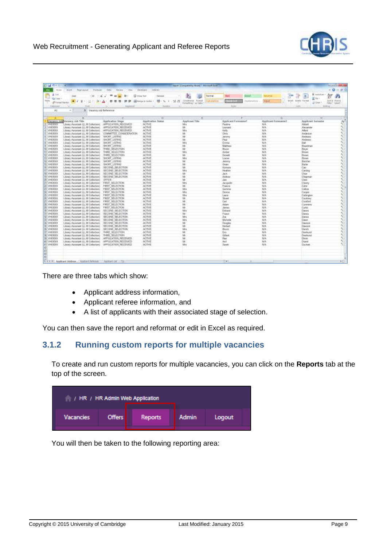

| 約 国 増大士              |                                                                           |                                                 |                                                                    | most (Canadians Moss) - 16-your line |                                 |                     |                             |                        |
|----------------------|---------------------------------------------------------------------------|-------------------------------------------------|--------------------------------------------------------------------|--------------------------------------|---------------------------------|---------------------|-----------------------------|------------------------|
|                      | Report Automotive<br><b><i>Distinguist</i></b><br><b>Joseph</b>           | Tiglio<br><b>Walkins</b><br>VWw.                | <b>BOOK MAL</b><br><b>Facebook</b>                                 |                                      |                                 |                     |                             | $=$ #1<br>$=$ $\Omega$ |
| A Call               |                                                                           |                                                 |                                                                    |                                      |                                 |                     | <b>Cadalian</b>             |                        |
| Ċ<br>da Cent +       | (国) ビギ<br>3.641                                                           | $\overline{\phantom{a}}$<br>z<br>适<br>各.<br>$=$ | <b>IVesa Ted</b><br>Contabust                                      | Namal                                | <b>Ball</b><br><b>Good</b>      | 45,818              | x<br>an hard                | 妍<br>m                 |
| <b>Finally</b>       | 甲卡<br>-0<br><b><i>di Formal Ranksi</i></b>                                | = = =<br>А<br>18 (K)                            | 18<br>击<br><b>Hill tough &amp; Santon</b><br>网<br>$\gamma_{\rm b}$ | Concession, Frenzi<br>Pakistation    | <b>CONTRACTO</b><br>Destated AV | <b>Strated</b>      | <b>Mast Baldy Format</b>    | licit & Prod &         |
|                      |                                                                           |                                                 |                                                                    | Fermattrisch - as Table)             |                                 |                     | Lil Daar                    | Filtern Select         |
| Castulate            | Finds.                                                                    |                                                 | 14-year-old                                                        |                                      | <b>Bullet</b>                   |                     | Lights.                     | <b>EXISTAN</b>         |
| AX                   | 5. Vacancy just Reference<br>$+1$                                         |                                                 |                                                                    |                                      |                                 |                     |                             |                        |
|                      |                                                                           |                                                 |                                                                    |                                      |                                 |                     |                             |                        |
|                      | B.                                                                        | 15                                              | <b>U</b>                                                           | ×                                    |                                 | 序                   | m.                          | j.                     |
|                      | Vacance Job Vacance Job Tide                                              | <b>Noticates</b> Stage                          | Assimitive fastes                                                  | Applicant Title                      | Applicant Formulated            | Applicant Foresame3 | Applicant Semente           |                        |
| VH030E9              | Joury Assistant (U. M Collection)                                         | APPUCATON RECEIVED                              | <b>ACTIVE</b>                                                      | Hen                                  | Pedro                           | 1616                | Akfairt                     |                        |
| VHOXIN               | Edvary Assistant (LL M Gollection)                                        | APPLICATION RECEIVED                            | ACTIVE.<br><b>ACTIVE</b>                                           | M.                                   | Leonard                         | NW<br><b>HA</b>     | <b>Alexander</b><br>Atlanti |                        |
| VHOJORA              | Library Assistant (LL M Collection)                                       | APPLICATION RECEIVED                            | <b>ACTIVE</b>                                                      |                                      | Kalley<br><b>OHe</b>            | 1616                |                             |                        |
| VH03069<br>(19400089 | 1. Rway Awardset (U. N Collection)                                        | COMMITTEE CONSCIENATION<br>SHORT LISTING        | ACTIVE                                                             | W                                    |                                 | 1416                | Anderson<br>Andrews.        |                        |
| T-1103000            | Library Airmstert (LL.W Collection)<br>Library Agentsat (LL M Collection) | SHORT LISTING                                   | ACTIVE.                                                            | <b>IV</b>                            | Janeiro<br>Paul                 | H.W                 | Andrews                     |                        |
| 8-1403069            | Libeary Assistant (LL M Collection)                                       | SHORT LISTING                                   | <b>ACTIVE</b>                                                      | hán                                  | Eciria                          | Nov                 | <b>Gulf</b>                 |                        |
| B . VH03055          | Library Assessent (U, M Collection)                                       | SHORT LISTING                                   | <b>ACTIVE</b>                                                      |                                      | Matthew                         | NW                  |                             |                        |
| TE: VHOXOBB          | Library Airststant (LL M Collection):                                     | THREE SCLEETERS                                 | ACTIVE.                                                            | 7dr                                  | <b>Brace</b>                    | <b>NM</b>           | Beadman<br><b>Dayw</b>      |                        |
| TT /v1403069         | Libsary Absolute (LL M Collection)                                        | THREE SELECTION                                 | <b>ACTIVE</b>                                                      | <b>H</b> dra                         | Ardon                           | 36.5%               | <b>Store</b>                |                        |
| 12. 1903069          | Library Aussetent (LL M-Collection)                                       | THRO BELECTION                                  | <b>ACTIVE</b>                                                      | M                                    | Donald                          | N/A                 | <b>Boont</b>                |                        |
| 11 \\\030E3          | Library Assistant (LL & Collection)                                       | SHORT LISTING                                   | <b>ACTIVE</b>                                                      | Mo                                   | Lowing                          | NW                  | <b>Eleven</b>               |                        |
| T2 1/1403069         | Liberty Alexander (LL M Collection)                                       | SHORT USTING                                    | <b>ACTIVE</b>                                                      |                                      | Janeiru                         | N/A                 | <b>Bul Li'un</b>            |                        |
| 13. 4403069          | Library Aircraftent (LL M Collection)                                     | SHORT LISTING                                   | ACTIVE                                                             | 陽神                                   | Owen                            | 1LVA                | Bishley                     |                        |
| IE:VHODOE3           | Library Alessnaw (LL M Collection)                                        | SECOND SPLECTION                                | ACTIVE.                                                            | <b>IA</b>                            | <b>Komuta</b>                   | 165h                | Cas:                        |                        |
| 17. VHO3068          | Library Annishart (LL M Collection)                                       | SECOND SELECTION                                | <b>ACTIVE</b>                                                      | <b>Harry</b>                         | <b>Heather</b>                  | 1616                | Catility                    |                        |
| 18 \1403065          | Library Agentiant (U. M Collection)                                       | SECOND BELECTION                                | <b>ACTIVE</b>                                                      | iú.                                  | Jack.                           | 14.16               | Clus                        |                        |
| 19 / 1/103055        | Library Assistant (LL M Collection)                                       | SECOND SPLECTION                                | <b>ACTIVE</b>                                                      | <b>W</b>                             | Archive                         | N/A                 | Clupman                     |                        |
| 00 VH03003           | Library Assistant (LL N Collection)                                       | <b>DIVER</b>                                    | ACTNE                                                              | iu                                   | Jan                             | <b>N/A</b>          | Chas                        |                        |
| IT / 1940/0083       | Library Associant (U, M Collection).                                      | FIRST BELECTION                                 | <b>ACTIVE</b>                                                      | Wn                                   | Arctistin                       | 16/8                | Clocky                      |                        |
| 22. VHO3009          | Library Agenciant (LL M Collection)                                       | FIRST SELECTION                                 | ACTIVE.                                                            | na-                                  | Francisc                        | 14/3                | Cater:                      |                        |
| 23 19103069          | Library Assistant (LL M Collection)                                       | FIRST SELECTION                                 | <b>ACTIVE</b>                                                      | <b>VA</b>                            | General                         | N.W                 | Callotte                    |                        |
| 28 VHO306R           | Library Massistant (U, M Collection).                                     | FIRST SELECTION                                 | <b>ACTIVE</b>                                                      | W-                                   | Danise                          | 1636                | X200per                     |                        |
| 25/1003003           | Lineary Airmstant (LL M Collection)                                       | <b>FRIST - SELECTION</b>                        | ACTIVE                                                             | No                                   | Latera                          | 1kW                 | Cattraton                   |                        |
| 35. 1103000          | Library Againstant (LL M Collection)                                      | FRST SELECTION                                  | ACTIVE.                                                            | 16                                   | Stuart                          | <b>HM</b>           | Gastery                     |                        |
| 07. VHO3069          | Libeary Aussietant (LL M Collection)                                      | FRST SELECTION                                  | <b>ACTIVE</b>                                                      | 讪                                    | Carl                            | <b>Nov</b>          | Contact                     |                        |
| 28 / VH03053         | Library Assistant (LL M Collection)                                       | <b>FRIST SELECTION</b>                          | <b>ACTIVE</b>                                                      |                                      | Adam                            | NW                  | Cammins                     |                        |
| ZB-14400009          | Library Aaststant (LL M Collection)                                       | FRIST SELECTION                                 | ACTIVE.                                                            | 陆队                                   | James                           | <b>TLVA</b>         | Cares                       |                        |
| IE-7v400069          | Libery Assistant (LL N Cobertion)                                         | SECOND SELECTION                                | ACTIVE.                                                            | <b>Now</b>                           | Edvard                          | <b>H-W</b>          | Casses                      |                        |
| 21. v103055          | Library Ausselem GL M Collection).                                        | <b>SECOND BELECTION</b>                         | ACTIVE                                                             | $^{16}$                              | Frater                          | N/A                 | <b>Canies</b>               |                        |
| T2 / 190,0009        | Library Assistant (LL M-Collection)                                       | SECOND SELECTION                                | <b>ACTIVE</b>                                                      | Mri                                  | Zos.                            | NA                  | Davies                      |                        |
| 33 1403069           | Liboay Assistant (11, M Collection).                                      | SECOND SELECTION                                | <b>ACTIVE</b>                                                      | <b>IM</b>                            | <b>Victoria</b>                 | N.W                 | <b>Caus</b>                 |                        |
| 34.1VH030E9          | Library Appoisant (11, M Collection)                                      | BECOND BELECTION                                | <b>ACTIVE</b>                                                      | M                                    | Doughes                         | <b>JUA</b>          | Gewane                      |                        |
| 38 (VH000E3          | Library Alesssant (LL M Collection)                                       | SECOND SELECTION                                | <b>ACTIVE</b>                                                      | <b>IM</b>                            | Rebert                          | <b>1656</b>         | Daviol                      |                        |
| 36 VHODGER           | Library Assistant (LL IV Collection)                                      | second seuzonos                                 | ACTIVE                                                             | <b>Max</b>                           | <b>Drack</b>                    | 4636                | Dwah                        |                        |
| ST. 1403065          | Library Advisitant (U. M Collection):                                     | THRD SELECTION                                  | <b>ACTIVE</b>                                                      | W                                    | Ees.                            | NA                  | Danmarks                    |                        |
| 38 TVPR0055          | Library Assistant (LL.M Collection)                                       | THRU SELECTION                                  | ACTIVE                                                             | 7de                                  | Gibit                           | 1654                | Cevinust                    |                        |
| 2011/10/2020         | Liney Assistant (L. M Collection)                                         | APPLICATION RECEIVED                            | ACTNE                                                              | iu                                   | Flash                           | <b>N/A</b>          | Diois:                      |                        |
| <b>JE 19400069</b>   | Library Assesses (LL M Collection)                                        | APPLICATION RECEIVED                            | <b>ACTIVE</b>                                                      | W                                    | Ani                             | 16/5                | Crused                      |                        |
| 41119903055          | Library Aircratest (LL M Collection)                                      | <b>MAILCATION RECEIVED</b>                      | <b>ACTIVE</b>                                                      | Mm                                   | <b>Banak</b>                    | NW <sub>1</sub>     | Disthelt                    |                        |
| ×                    |                                                                           |                                                 |                                                                    |                                      |                                 |                     |                             |                        |
| <b>KS</b>            |                                                                           |                                                 |                                                                    |                                      |                                 |                     |                             |                        |
| 33                   |                                                                           |                                                 |                                                                    |                                      |                                 |                     |                             |                        |
|                      |                                                                           |                                                 |                                                                    |                                      |                                 |                     |                             |                        |
|                      |                                                                           |                                                 |                                                                    |                                      |                                 |                     |                             | m                      |
| AT.                  | WAXW. Applicant Address / Austral Editorics / National Australian / CA    |                                                 |                                                                    |                                      | $\blacksquare$                  |                     |                             |                        |

There are three tabs which show:

- Applicant address information,
- Applicant referee information, and
- A list of applicants with their associated stage of selection.

You can then save the report and reformat or edit in Excel as required.

### <span id="page-9-0"></span>**3.1.2 Running custom reports for multiple vacancies**

To create and run custom reports for multiple vacancies, you can click on the **Reports** tab at the top of the screen.

| / HR / HR Admin Web Application |               |         |              |        |
|---------------------------------|---------------|---------|--------------|--------|
| <b>Vacancies</b>                | <b>Offers</b> | Reports | <b>Admin</b> | Logout |

You will then be taken to the following reporting area: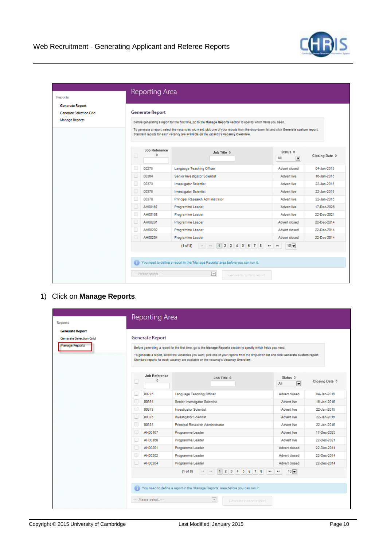

| <b>Reports</b>                                           | Reporting Area         |                    |                                                                                                                                                                                                                                                                                                                                                    |                                             |                         |
|----------------------------------------------------------|------------------------|--------------------|----------------------------------------------------------------------------------------------------------------------------------------------------------------------------------------------------------------------------------------------------------------------------------------------------------------------------------------------------|---------------------------------------------|-------------------------|
| <b>Generate Report</b><br><b>Generate Selection Grid</b> | <b>Generate Report</b> |                    |                                                                                                                                                                                                                                                                                                                                                    |                                             |                         |
| Manage Reports                                           |                        |                    | Before generating a report for the first time, go to the Manage Reports section to specify which fields you need.<br>To generate a report, select the vacancles you want, pick one of your reports from the drop-down list and click Generate custom report.<br>Standard reports for each vacancy are available on the vacancy's Vacancy Overview. |                                             |                         |
|                                                          | □                      | Job Reference<br>÷ | Job Title $\diamond$                                                                                                                                                                                                                                                                                                                               | Status 0<br>$\overline{\phantom{a}}$<br>All | Closing Date $\diamond$ |
|                                                          | c<br>00275             |                    | Language Teaching Officer                                                                                                                                                                                                                                                                                                                          | Advert closed                               | 04-Jan-2015             |
|                                                          | c<br>00364             |                    | Senior Investigator Scientist                                                                                                                                                                                                                                                                                                                      | Advert live                                 | 16-Jan-2015             |
|                                                          | O<br>00373             |                    | <b>Investigator Scientist</b>                                                                                                                                                                                                                                                                                                                      | Advert live                                 | 22-Jan-2015             |
|                                                          | c<br>00375             |                    | <b>Investigator Scientist</b>                                                                                                                                                                                                                                                                                                                      | Advert live                                 | 22-Jan-2015             |
|                                                          | O<br>00378             |                    | Principal Research Administrator                                                                                                                                                                                                                                                                                                                   | Advert live                                 | 22-Jan-2015             |
|                                                          | O<br>AH00167           |                    | Programme Leader                                                                                                                                                                                                                                                                                                                                   | Advert live                                 | 17-Dec-2025             |
|                                                          | O<br>AH00168           |                    | Programme Leader                                                                                                                                                                                                                                                                                                                                   | Advert live                                 | 22-Dec-2021             |
|                                                          | c<br>AH00201           |                    | Programme Leader                                                                                                                                                                                                                                                                                                                                   | Advert closed                               | 22-Dec-2014             |
|                                                          | o<br>AH00202           |                    | Programme Leader                                                                                                                                                                                                                                                                                                                                   | Advert closed                               | 22-Dec-2014             |
|                                                          | o<br>AH00204           |                    | Programme Leader                                                                                                                                                                                                                                                                                                                                   | Advert closed                               | 22-Dec-2014             |
|                                                          |                        | $(1$ of $8)$       | 1 4 5 6 7 8<br>b)                                                                                                                                                                                                                                                                                                                                  | $10$ $\Box$<br>×.                           |                         |
|                                                          |                        |                    | You need to define a report in the 'Manage Reports' area before you can run it.                                                                                                                                                                                                                                                                    |                                             |                         |
|                                                          | --- Please select ---  |                    | $\overline{\mathbf{v}}$                                                                                                                                                                                                                                                                                                                            |                                             |                         |

1) Click on **Manage Reports**.

| <b>Reports</b>          |   | Reporting Area         |                                                                                                                                                                                                                               |                                             |                         |
|-------------------------|---|------------------------|-------------------------------------------------------------------------------------------------------------------------------------------------------------------------------------------------------------------------------|---------------------------------------------|-------------------------|
| <b>Generate Report</b>  |   |                        |                                                                                                                                                                                                                               |                                             |                         |
| Generate Selection Grid |   | <b>Generate Report</b> |                                                                                                                                                                                                                               |                                             |                         |
| Manage Reports          |   |                        |                                                                                                                                                                                                                               |                                             |                         |
|                         |   |                        | Before generating a report for the first time, go to the Manage Reports section to specify which fields you need.                                                                                                             |                                             |                         |
|                         |   |                        | To generate a report, select the vacancies you want, pick one of your reports from the drop-down list and click Generate custom report.<br>Standard reports for each vacancy are available on the vacancy's Vacancy Overview. |                                             |                         |
|                         | 0 | Job Reference<br>¢     | Job Title $\diamond$                                                                                                                                                                                                          | Status 0<br>$\overline{\phantom{a}}$<br>All | Closing Date $\diamond$ |
|                         | □ | 00275                  | Language Teaching Officer                                                                                                                                                                                                     | Advert closed                               | 04-Jan-2015             |
|                         |   | 00364                  | Senior Investigator Scientist                                                                                                                                                                                                 | Advert live                                 | 16-Jan-2015             |
|                         | □ | 00373                  | <b>Investigator Scientist</b>                                                                                                                                                                                                 | Advert live                                 | 22-Jan-2015             |
|                         |   | 00375                  | <b>Investigator Scientist</b>                                                                                                                                                                                                 | Advert live                                 | 22-Jan-2015             |
|                         |   | 00378                  | Principal Research Administrator                                                                                                                                                                                              | Advert live                                 | 22-Jan-2015             |
|                         |   | AH00167                | Programme Leader                                                                                                                                                                                                              | Advert live                                 | 17-Dec-2025             |
|                         |   | AH00168                | Programme Leader                                                                                                                                                                                                              | Advert live                                 | 22-Dec-2021             |
|                         |   | AH00201                | Programme Leader                                                                                                                                                                                                              | Advert closed                               | 22-Dec-2014             |
|                         |   | AH00202                | Programme Leader                                                                                                                                                                                                              | Advert closed                               | 22-Dec-2014             |
|                         |   | AH00204                | Programme Leader                                                                                                                                                                                                              | Advert closed                               | 22-Dec-2014             |
|                         |   |                        | 1 2 3 4 5 6 7 8<br>$(1$ of $8)$<br>$14 - 44$<br><b>FOR</b>                                                                                                                                                                    | $10$ $\Box$<br>$\mathbf{F}$ :               |                         |
|                         |   |                        | You need to define a report in the 'Manage Reports' area before you can run it.                                                                                                                                               |                                             |                         |
|                         |   | --- Please select ---  | $\overline{\mathbf{v}}$<br>Generate custom report                                                                                                                                                                             |                                             |                         |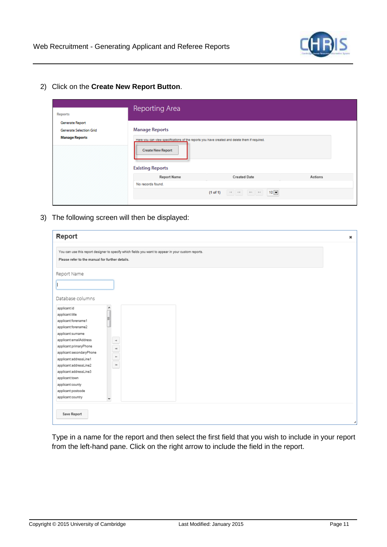

2) Click on the **Create New Report Button**.

| <b>Reports</b>                                                      | Reporting Area                                                               |                                                                                               |         |
|---------------------------------------------------------------------|------------------------------------------------------------------------------|-----------------------------------------------------------------------------------------------|---------|
| Generate Report<br>Generate Selection Grid<br><b>Manage Reports</b> | <b>Manage Reports</b><br><b>Create New Report</b><br><b>Existing Reports</b> | Here you can view specifications of the reports you have created and delete them if required. |         |
|                                                                     | <b>Report Name</b>                                                           | <b>Created Date</b>                                                                           | Actions |
|                                                                     | No records found.                                                            |                                                                                               |         |
|                                                                     |                                                                              | $10$ $\Box$<br>$(1 \text{ of } 1)$                                                            |         |

3) The following screen will then be displayed:

| Report                                                                                                                                                                                                                                                                                                                                                                                                                                             | × |
|----------------------------------------------------------------------------------------------------------------------------------------------------------------------------------------------------------------------------------------------------------------------------------------------------------------------------------------------------------------------------------------------------------------------------------------------------|---|
| You can use this report designer to specify which fields you want to appear in your custom reports.<br>Please refer to the manual for further details.                                                                                                                                                                                                                                                                                             |   |
| Report Name<br>Database columns                                                                                                                                                                                                                                                                                                                                                                                                                    |   |
| applicant:id<br>▲<br>applicant:title<br>Ξ<br>applicant:forename1<br>applicant:forename2<br>applicant:surname<br>applicant:emailAddress<br>$\rightarrow$<br>applicant:primaryPhone<br>$\begin{array}{c c} \ast & \ast \\ \hline \ast & \ast \end{array}$<br>applicant:secondaryPhone<br>applicant:addressLine1<br>applicant:addressLine2<br>applicant:addressLine3<br>applicant:town<br>applicant:county<br>applicant:postcode<br>applicant:country |   |
| Save Report                                                                                                                                                                                                                                                                                                                                                                                                                                        |   |

Type in a name for the report and then select the first field that you wish to include in your report from the left-hand pane. Click on the right arrow to include the field in the report.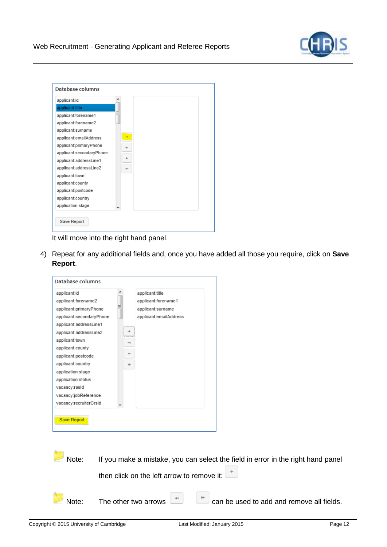

| Database columns         |   |     |
|--------------------------|---|-----|
| applicant:id             |   |     |
| applicant:title          |   |     |
| applicant:forename1      | Ξ |     |
| applicant:forename2      |   |     |
| applicant:surname        |   |     |
| applicant:emailAddress   |   |     |
| applicant:primaryPhone   |   | -41 |
| applicant:secondaryPhone |   |     |
| applicant:addressLine1   |   | ←   |
| applicant:addressLine2   |   | I÷  |
| applicant:town           |   |     |
| applicant:county         |   |     |
| applicant:postcode       |   |     |
| applicant:country        |   |     |
| application:stage        |   |     |
|                          |   |     |
| Save Report              |   |     |
|                          |   |     |

It will move into the right hand panel.

4) Repeat for any additional fields and, once you have added all those you require, click on **Save Report**.

| applicant:id                |              | applicant:title                            |                                                                                  |
|-----------------------------|--------------|--------------------------------------------|----------------------------------------------------------------------------------|
| applicant:forename2         |              | applicant:forename1                        |                                                                                  |
| applicant:primaryPhone      |              | applicant:surname                          |                                                                                  |
| applicant:secondaryPhone    |              | applicant:emailAddress                     |                                                                                  |
| applicant:addressLine1      |              |                                            |                                                                                  |
| applicant:addressLine2      | →            |                                            |                                                                                  |
| applicant:town              | $+1$         |                                            |                                                                                  |
| applicant:county            |              |                                            |                                                                                  |
| applicant:postcode          | $\leftarrow$ |                                            |                                                                                  |
| applicant:country           | ⊬            |                                            |                                                                                  |
| application:stage           |              |                                            |                                                                                  |
| application:status          |              |                                            |                                                                                  |
| vacancy:rasid               |              |                                            |                                                                                  |
| vacancy:jobReference        |              |                                            |                                                                                  |
| vacancy:recruiterCrsId      |              |                                            |                                                                                  |
|                             |              |                                            |                                                                                  |
| <b>Save Report</b><br>Note: |              |                                            | If you make a mistake, you can select the field in error in the right hand panel |
|                             |              | then click on the left arrow to remove it: |                                                                                  |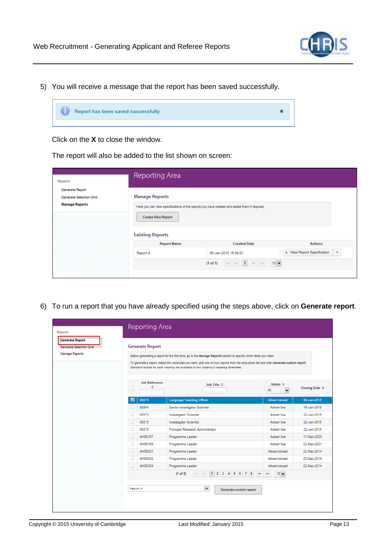

5) You will receive a message that the report has been saved successfully.



Click on the **X** to close the window.

The report will also be added to the list shown on screen:

| <b>Reports</b>                                                      | Reporting Area                                                                                                                                                                |                                                    |                                                        |  |  |  |  |  |  |  |  |
|---------------------------------------------------------------------|-------------------------------------------------------------------------------------------------------------------------------------------------------------------------------|----------------------------------------------------|--------------------------------------------------------|--|--|--|--|--|--|--|--|
| Generate Report<br>Generate Selection Grid<br><b>Manage Reports</b> | <b>Manage Reports</b><br>Here you can view specifications of the reports you have created and delete them if required.<br><b>Create New Report</b><br><b>Existing Reports</b> |                                                    |                                                        |  |  |  |  |  |  |  |  |
|                                                                     | <b>Report Name</b>                                                                                                                                                            | <b>Created Date</b>                                | Actions                                                |  |  |  |  |  |  |  |  |
|                                                                     | Report A                                                                                                                                                                      | 06-Jan-2015 16:49:01                               | * View Report Specification<br>$\overline{\mathbf{v}}$ |  |  |  |  |  |  |  |  |
|                                                                     |                                                                                                                                                                               | $10$ $\square$<br>$14$ of 1 $10$ $\mu$<br>(1 of 1) |                                                        |  |  |  |  |  |  |  |  |
|                                                                     |                                                                                                                                                                               |                                                    |                                                        |  |  |  |  |  |  |  |  |

6) To run a report that you have already specified using the steps above, click on **Generate report**.

| <b>Generate Report</b>         |                                                                                                                   |                        |                                                                                                                                                                                                                               |                                            |                         |  |  |  |  |  |  |
|--------------------------------|-------------------------------------------------------------------------------------------------------------------|------------------------|-------------------------------------------------------------------------------------------------------------------------------------------------------------------------------------------------------------------------------|--------------------------------------------|-------------------------|--|--|--|--|--|--|
| <b>Generate Selection Grid</b> |                                                                                                                   | <b>Generate Report</b> |                                                                                                                                                                                                                               |                                            |                         |  |  |  |  |  |  |
| Manage Reports                 | Before generating a report for the first time, go to the Manage Reports section to specify which fields you need. |                        |                                                                                                                                                                                                                               |                                            |                         |  |  |  |  |  |  |
|                                |                                                                                                                   |                        | To generate a report, select the vacancles you want, pick one of your reports from the drop-down list and click Generate custom report.<br>Standard reports for each vacancy are available on the vacancy's Vacancy Overview. |                                            |                         |  |  |  |  |  |  |
|                                | u                                                                                                                 | Job Reference<br>≎     | Job Title $\diamond$                                                                                                                                                                                                          | Status $\diamond$<br>$\blacksquare$<br>All | Closing Date $\diamond$ |  |  |  |  |  |  |
|                                | $\overline{\mathbf{v}}$                                                                                           | 00275                  | <b>Language Teaching Officer</b>                                                                                                                                                                                              | <b>Advert closed</b>                       | 04-Jan-2015             |  |  |  |  |  |  |
|                                |                                                                                                                   | 00364                  | Senior Investigator Scientist                                                                                                                                                                                                 | Advert live                                | 16-Jan-2015             |  |  |  |  |  |  |
|                                |                                                                                                                   | 00373                  | <b>Investigator Scientist</b>                                                                                                                                                                                                 | <b>Advert live</b>                         | 22-Jan-2015             |  |  |  |  |  |  |
|                                | c                                                                                                                 | 00375                  | <b>Investigator Scientist</b>                                                                                                                                                                                                 | Advert live                                | 22-Jan-2015             |  |  |  |  |  |  |
|                                | □                                                                                                                 | 00378                  | Principal Research Administrator                                                                                                                                                                                              | Advert live                                | 22-Jan-2015             |  |  |  |  |  |  |
|                                |                                                                                                                   | AH00167                | Programme Leader                                                                                                                                                                                                              | Advert live                                | 17-Dec-2025             |  |  |  |  |  |  |
|                                | o                                                                                                                 | AH00168                | Programme Leader                                                                                                                                                                                                              | Advert live                                | 22-Dec-2021             |  |  |  |  |  |  |
|                                |                                                                                                                   | AH00201                | Programme Leader                                                                                                                                                                                                              | Advert closed                              | 22-Dec-2014             |  |  |  |  |  |  |
|                                | c                                                                                                                 | AH00202                | Programme Leader                                                                                                                                                                                                              | Advert closed                              | 22-Dec-2014             |  |  |  |  |  |  |
|                                |                                                                                                                   | AH00204                | Programme Leader                                                                                                                                                                                                              | Advert closed                              | 22-Dec-2014             |  |  |  |  |  |  |
|                                |                                                                                                                   |                        | 1 2 3 4 5 6 7 8<br>$(1$ of $8)$<br>$\mathbf{p}$                                                                                                                                                                               | $10 -$<br>$\blacktriangleright$ 1          |                         |  |  |  |  |  |  |
|                                | Report A                                                                                                          |                        | $\blacksquare$<br>Generate custom report                                                                                                                                                                                      |                                            |                         |  |  |  |  |  |  |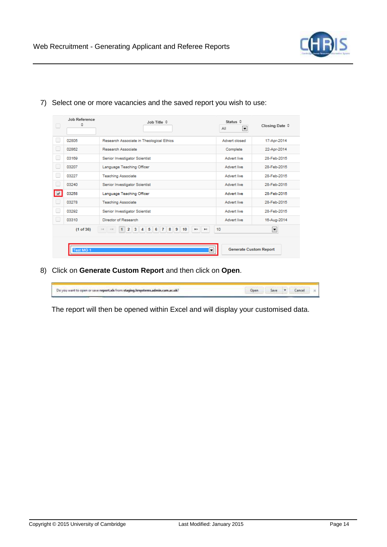

|   | Job Reference<br>٠ | Job Title ¢                                                                                                                            | Status 0<br>$\overline{\phantom{a}}$<br>All | Closing Date $\diamond$ |
|---|--------------------|----------------------------------------------------------------------------------------------------------------------------------------|---------------------------------------------|-------------------------|
|   | 02805              | Research Associate in Theological Ethics                                                                                               | Advert closed                               | 17-Apr-2014             |
|   | 02862              | Research Associate                                                                                                                     | Complete                                    | 22-Apr-2014             |
| Г | 03169              | Senior Investigator Scientist                                                                                                          | <b>Advert live</b>                          | 28-Feb-2015             |
|   | 03207              | Language Teaching Officer                                                                                                              | Advert live                                 | 28-Feb-2015             |
|   | 03227              | <b>Teaching Associate</b>                                                                                                              | Advert live                                 | 28-Feb-2015             |
| П | 03240              | Senior Investigator Scientist                                                                                                          | <b>Advert live</b>                          | 28-Feb-2015             |
|   | 03258              | Language Teaching Officer                                                                                                              | <b>Advert live</b>                          | 28-Feb-2015             |
|   | 03278              | <b>Teaching Associate</b>                                                                                                              | Advert live                                 | 28-Feb-2015             |
| Г | 03292              | Senior Investigator Scientist                                                                                                          | Advert live                                 | 28-Feb-2015             |
|   | 03310              | Director of Research                                                                                                                   | <b>Advert live</b>                          | 16-Aug-2014             |
|   | (1 of 36)          | 5 <sup>1</sup><br>6<br>8 <sub>1</sub><br>9<br>$\overline{7}$<br>$2 \mid 3$<br>$\mathbf{4}$<br>10<br>$\mathbf{1}$<br>p.<br>$\mathbf{P}$ | 10                                          | ×                       |
|   | Test MG 1          | ▼                                                                                                                                      | <b>Generate Custom Report</b>               |                         |

#### 7) Select one or more vacancies and the saved report you wish to use:

8) Click on **Generate Custom Report** and then click on **Open**.

| Do you want to open or save report.xls from staging.hrsystems.admin.cam.ac.uk? |  | ance |  |
|--------------------------------------------------------------------------------|--|------|--|
|                                                                                |  |      |  |

The report will then be opened within Excel and will display your customised data.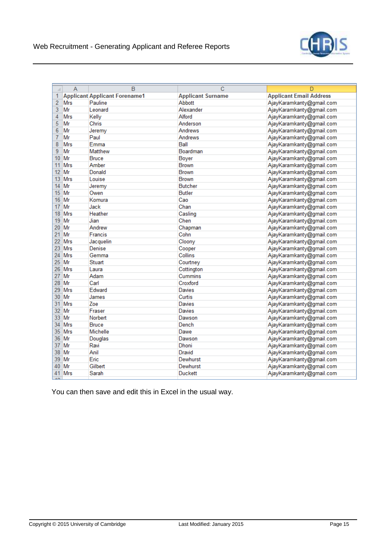

| A              | $\overline{A}$ | B                                    | Ć                        | D                              |
|----------------|----------------|--------------------------------------|--------------------------|--------------------------------|
| 1              |                | <b>Applicant Applicant Forename1</b> | <b>Applicant Surname</b> | <b>Applicant Email Address</b> |
| $\overline{2}$ | Mrs            | Pauline                              | Abbott                   | AjayKaramkanty@gmail.com       |
| 3              | Mr             | Leonard                              | Alexander                | AjayKaramkanty@gmail.com       |
| 4              | Mrs            | Kelly                                | Alford                   | AjayKaramkanty@gmail.com       |
| 5              | Mr             | Chris                                | Anderson                 | AjayKaramkanty@gmail.com       |
| 6              | Mr             | Jeremy                               | Andrews                  | AjayKaramkanty@gmail.com       |
| 7              | Mr             | Paul                                 | Andrews                  | AjayKaramkanty@gmail.com       |
| 8              | <b>Mrs</b>     | Emma                                 | Ball                     | AjayKaramkanty@gmail.com       |
| 9              | Mr             | Matthew                              | Boardman                 | AjayKaramkanty@gmail.com       |
| 10             | Mr             | <b>Bruce</b>                         | <b>Boyer</b>             | AjayKaramkanty@gmail.com       |
| 11             | <b>Mrs</b>     | Amber                                | <b>Brown</b>             | AjayKaramkanty@gmail.com       |
| 12             | Mr             | Donald                               | <b>Brown</b>             | AjayKaramkanty@gmail.com       |
| 13             | Mrs            | Louise                               | <b>Brown</b>             | AjayKaramkanty@gmail.com       |
| 14             | Mr             | Jeremy                               | <b>Butcher</b>           | AjayKaramkanty@gmail.com       |
| 15             | Mr             | Owen                                 | <b>Butler</b>            | AjayKaramkanty@gmail.com       |
| 16             | Mr             | Komura                               | Cao                      | AjayKaramkanty@gmail.com       |
| 17             | Mr             | Jack                                 | Chan                     | AjayKaramkanty@gmail.com       |
| 18             | Mrs            | Heather                              | Casling                  | AjayKaramkanty@gmail.com       |
| 19             | Mr             | Jian                                 | Chen                     | AjayKaramkanty@gmail.com       |
| 20             | Mr             | Andrew                               | Chapman                  | AjayKaramkanty@gmail.com       |
| 21             | Mr             | <b>Francis</b>                       | Cohn                     | AjayKaramkanty@gmail.com       |
| 22             | Mrs            | Jacquelin                            | Cloony                   | AjayKaramkanty@gmail.com       |
| 23             | Mrs            | Denise                               | Cooper                   | AjayKaramkanty@gmail.com       |
| 24             | <b>Mrs</b>     | Gemma                                | Collins                  | AjayKaramkanty@gmail.com       |
| 25             | Mr             | <b>Stuart</b>                        | Courtney                 | AjayKaramkanty@gmail.com       |
| 26             | <b>Mrs</b>     | Laura                                | Cottington               | AjayKaramkanty@gmail.com       |
| 27             | Mr             | Adam                                 | Cummins                  | AjayKaramkanty@gmail.com       |
| 28             | Mr             | Carl                                 | Croxford                 | AjayKaramkanty@gmail.com       |
| 29             | <b>Mrs</b>     | Edward                               | <b>Davies</b>            | AjayKaramkanty@gmail.com       |
| 30             | Mr             | James                                | Curtis                   | AjayKaramkanty@gmail.com       |
| 31             | <b>Mrs</b>     | Zoe                                  | Davies                   | AjayKaramkanty@gmail.com       |
| 32             | Mr             | Fraser                               | Davies                   | AjayKaramkanty@gmail.com       |
| 33             | Mr             | Norbert                              | Dawson                   | AjayKaramkanty@gmail.com       |
| 34             | <b>Mrs</b>     | <b>Bruce</b>                         | Dench                    | AjayKaramkanty@gmail.com       |
| 35             | Mrs            | <b>Michelle</b>                      | Dawe                     | AjayKaramkanty@gmail.com       |
| 36             | Mr             | Douglas                              | Dawson                   | AjayKaramkanty@gmail.com       |
| 37             | Mr             | Ravi                                 | Dhoni                    | AjayKaramkanty@gmail.com       |
| 38             | Mr             | Anil                                 | Dravid                   | AjayKaramkanty@gmail.com       |
| 39             | Mr             | Eric                                 | Dewhurst                 | AjayKaramkanty@gmail.com       |
| 40             | Mr             | Gilbert                              | Dewhurst                 | AjayKaramkanty@gmail.com       |
| 41<br><b>A</b> | Mrs            | Sarah                                | <b>Duckett</b>           | AjayKaramkanty@gmail.com       |

You can then save and edit this in Excel in the usual way.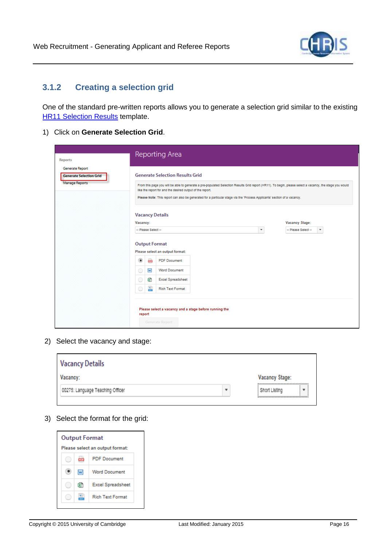

# <span id="page-16-0"></span>**3.1.2 Creating a selection grid**

One of the standard pre-written reports allows you to generate a selection grid similar to the existing **[HR11 Selection Results](http://www.admin.cam.ac.uk/cam-only/offices/hr/forms/hr11/) template.** 

1) Click on **Generate Selection Grid**.

| <b>Reports</b>                                                      | Reporting Area                                                                                                                                                                                                                                                                                                                                                                                         |                                                                     |
|---------------------------------------------------------------------|--------------------------------------------------------------------------------------------------------------------------------------------------------------------------------------------------------------------------------------------------------------------------------------------------------------------------------------------------------------------------------------------------------|---------------------------------------------------------------------|
| Generate Report<br><b>Generate Selection Grid</b><br>Manage Reports | <b>Generate Selection Results Grid</b><br>From this page you will be able to generate a pre-populated Selection Results Grid report (HR11). To begin, please select a vacancy, the stage you would<br>like the report for and the desired output of the report.<br>Please Note: This report can also be generated for a particular stage via the 'Process Applicants' section of a vacancy.            |                                                                     |
|                                                                     | <b>Vacancy Details</b><br>Vacancy:<br>$\scriptstyle\star$<br>-- Please Select --<br><b>Output Format</b><br>Please select an output format:<br>۰<br>œ.<br><b>PDF</b> Document<br>W<br><b>Word Document</b><br>0<br>₫<br>0<br><b>Excel Spreadsheet</b><br>$\frac{1}{\sqrt{100}}$<br>O<br><b>Rich Text Format</b><br>Please select a vacancy and a stage before running the<br>report<br>Generate Report | <b>Vacancy Stage:</b><br>-- Please Select --<br>$\scriptstyle\rm w$ |

2) Select the vacancy and stage:

| <b>Vacancy Details</b>           |                |
|----------------------------------|----------------|
| Vacancy:                         | Vacancy Stage: |
| 00275: Language Teaching Officer | Short Listing  |
|                                  |                |

3) Select the format for the grid: